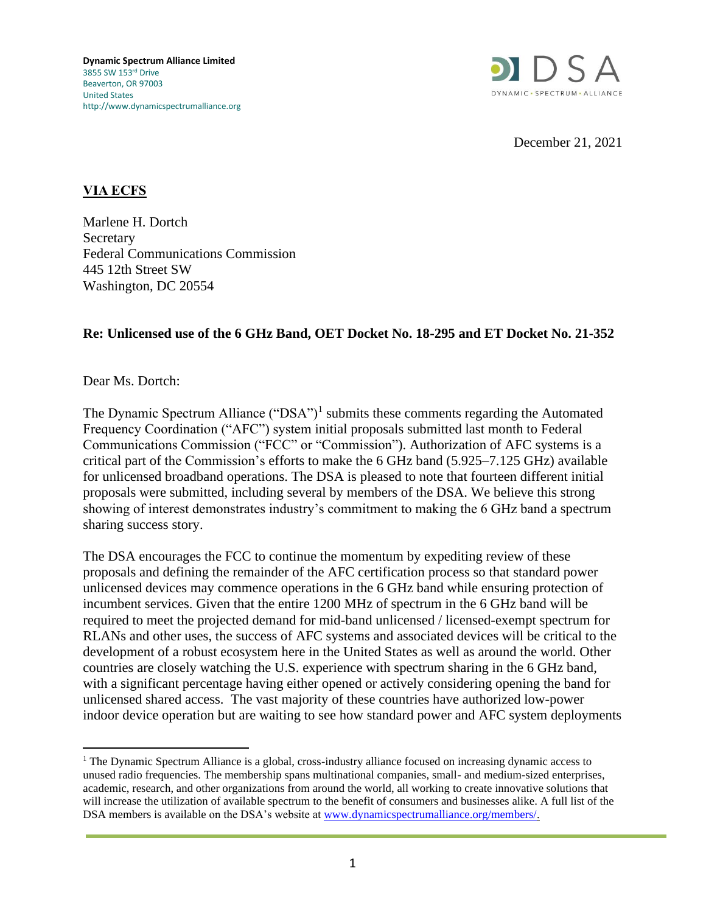

December 21, 2021

## **VIA ECFS**

Marlene H. Dortch **Secretary** Federal Communications Commission 445 12th Street SW Washington, DC 20554

## **Re: Unlicensed use of the 6 GHz Band, OET Docket No. 18-295 and ET Docket No. 21-352**

Dear Ms. Dortch:

The Dynamic Spectrum Alliance ("DSA")<sup>1</sup> submits these comments regarding the Automated Frequency Coordination ("AFC") system initial proposals submitted last month to Federal Communications Commission ("FCC" or "Commission"). Authorization of AFC systems is a critical part of the Commission's efforts to make the 6 GHz band (5.925–7.125 GHz) available for unlicensed broadband operations. The DSA is pleased to note that fourteen different initial proposals were submitted, including several by members of the DSA. We believe this strong showing of interest demonstrates industry's commitment to making the 6 GHz band a spectrum sharing success story.

The DSA encourages the FCC to continue the momentum by expediting review of these proposals and defining the remainder of the AFC certification process so that standard power unlicensed devices may commence operations in the 6 GHz band while ensuring protection of incumbent services. Given that the entire 1200 MHz of spectrum in the 6 GHz band will be required to meet the projected demand for mid-band unlicensed / licensed-exempt spectrum for RLANs and other uses, the success of AFC systems and associated devices will be critical to the development of a robust ecosystem here in the United States as well as around the world. Other countries are closely watching the U.S. experience with spectrum sharing in the 6 GHz band, with a significant percentage having either opened or actively considering opening the band for unlicensed shared access. The vast majority of these countries have authorized low-power indoor device operation but are waiting to see how standard power and AFC system deployments

<sup>&</sup>lt;sup>1</sup> The Dynamic Spectrum Alliance is a global, cross-industry alliance focused on increasing dynamic access to unused radio frequencies. The membership spans multinational companies, small- and medium-sized enterprises, academic, research, and other organizations from around the world, all working to create innovative solutions that will increase the utilization of available spectrum to the benefit of consumers and businesses alike. A full list of the DSA members is available on the DSA's website at [www.dynamicspectrumalliance.org/members/.](http://www.dynamicspectrumalliance.org/members/)